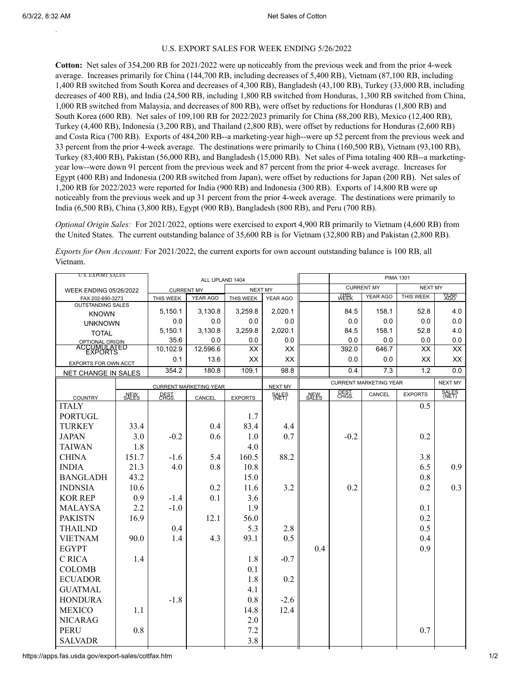`

## U.S. EXPORT SALES FOR WEEK ENDING 5/26/2022

**Cotton:** Net sales of 354,200 RB for 2021/2022 were up noticeably from the previous week and from the prior 4-week average. Increases primarily for China (144,700 RB, including decreases of 5,400 RB), Vietnam (87,100 RB, including 1,400 RB switched from South Korea and decreases of 4,300 RB), Bangladesh (43,100 RB), Turkey (33,000 RB, including decreases of 400 RB), and India (24,500 RB, including 1,800 RB switched from Honduras, 1,300 RB switched from China, 1,000 RB switched from Malaysia, and decreases of 800 RB), were offset by reductions for Honduras (1,800 RB) and South Korea (600 RB). Net sales of 109,100 RB for 2022/2023 primarily for China (88,200 RB), Mexico (12,400 RB), Turkey (4,400 RB), Indonesia (3,200 RB), and Thailand (2,800 RB), were offset by reductions for Honduras (2,600 RB) and Costa Rica (700 RB). Exports of 484,200 RB--a marketing-year high--were up 52 percent from the previous week and 33 percent from the prior 4-week average. The destinations were primarily to China (160,500 RB), Vietnam (93,100 RB), Turkey (83,400 RB), Pakistan (56,000 RB), and Bangladesh (15,000 RB). Net sales of Pima totaling 400 RB--a marketingyear low--were down 91 percent from the previous week and 87 percent from the prior 4-week average. Increases for Egypt (400 RB) and Indonesia (200 RB switched from Japan), were offset by reductions for Japan (200 RB). Net sales of 1,200 RB for 2022/2023 were reported for India (900 RB) and Indonesia (300 RB). Exports of 14,800 RB were up noticeably from the previous week and up 31 percent from the prior 4-week average. The destinations were primarily to India (6,500 RB), China (3,800 RB), Egypt (900 RB), Bangladesh (800 RB), and Peru (700 RB).

*Optional Origin Sales:* For 2021/2022, options were exercised to export 4,900 RB primarily to Vietnam (4,600 RB) from the United States. The current outstanding balance of 35,600 RB is for Vietnam (32,800 RB) and Pakistan (2,800 RB).

*Exports for Own Account:* For 2021/2022, the current exports for own account outstanding balance is 100 RB, all Vietnam.

| <b>U.S. EXPORT SALES</b>                    |       |                                      |          | <b>PIMA 1301</b> |              |       |                               |          |                |              |
|---------------------------------------------|-------|--------------------------------------|----------|------------------|--------------|-------|-------------------------------|----------|----------------|--------------|
| <b>WEEK ENDING 05/26/2022</b>               |       | ALL UPLAND 1404<br><b>CURRENT MY</b> |          | <b>NEXT MY</b>   |              |       | <b>CURRENT MY</b>             |          | <b>NEXT MY</b> |              |
| FAX 202-690-3273                            |       | THIS WEEK                            | YEAR AGO | THIS WEEK        | YEAR AGO     |       | 썗                             | YEAR AGO | THIS WEEK      | YEAR<br>AGO  |
| <b>OUTSTANDING SALES</b>                    |       | 5,150.1                              | 3,130.8  | 3,259.8          | 2,020.1      |       | 84.5                          | 158.1    | 52.8           | 4.0          |
| <b>KNOWN</b>                                |       | 0.0                                  | 0.0      | 0.0              | 0.0          |       | 0.0                           | 0.0      | 0.0            | 0.0          |
| <b>UNKNOWN</b>                              |       | 5,150.1                              | 3,130.8  | 3,259.8          | 2,020.1      |       | 84.5                          | 158.1    | 52.8           | 4.0          |
| <b>TOTAL</b>                                |       | 35.6                                 | 0.0      | 0.0              | 0.0          |       | 0.0                           | 0.0      | 0.0            | 0.0          |
| <b>OPTIONAL ORIGIN</b><br>ACCUMULATED       |       | 10,102.9                             | 12,596.6 | XX               | XX           |       | 392.0                         | 646.7    | XX             | XX           |
|                                             |       | 0.1                                  | 13.6     | XX               | XX           |       | 0.0                           | 0.0      | XX             | XX           |
| EXPORTS FOR OWN ACCT<br>NET CHANGE IN SALES |       | 354.2                                | 180.8    | 109.1            | 98.8         |       | 0.4                           | 7.3      | 1.2            | 0.0          |
|                                             |       | <b>CURRENT MARKETING YEAR</b>        |          |                  | NEXT MY      |       | <b>CURRENT MARKETING YEAR</b> |          | NEXT MY        |              |
|                                             | SALES | <b>REST</b>                          |          |                  | <b>SALES</b> | SALES | <b>CHGST</b><br>CANCEL        |          | <b>EXPORTS</b> | <b>SALES</b> |
| <b>COUNTRY</b><br><b>ITALY</b>              |       |                                      | CANCEL   | <b>EXPORTS</b>   |              |       |                               |          | 0.5            |              |
| <b>PORTUGL</b>                              |       |                                      |          | 1.7              |              |       |                               |          |                |              |
| <b>TURKEY</b>                               | 33.4  |                                      | 0.4      | 83.4             | 4.4          |       |                               |          |                |              |
| <b>JAPAN</b>                                | 3.0   | $-0.2$                               | 0.6      | 1.0              | 0.7          |       | $-0.2$                        |          | 0.2            |              |
| <b>TAIWAN</b>                               | 1.8   |                                      |          | 4.0              |              |       |                               |          |                |              |
| <b>CHINA</b>                                | 151.7 | $-1.6$                               | 5.4      | 160.5            | 88.2         |       |                               |          | 3.8            |              |
| <b>INDIA</b>                                | 21.3  | 4.0                                  | 0.8      | 10.8             |              |       |                               |          | 6.5            | 0.9          |
| <b>BANGLADH</b>                             | 43.2  |                                      |          | 15.0             |              |       |                               |          | 0.8            |              |
| <b>INDNSIA</b>                              | 10.6  |                                      | 0.2      | 11.6             | 3.2          |       | 0.2                           |          | 0.2            | 0.3          |
| <b>KOR REP</b>                              | 0.9   | $-1.4$                               | 0.1      | 3.6              |              |       |                               |          |                |              |
| <b>MALAYSA</b>                              | 2.2   | $-1.0$                               |          | 1.9              |              |       |                               |          | 0.1            |              |
| <b>PAKISTN</b>                              | 16.9  |                                      | 12.1     | 56.0             |              |       |                               |          | 0.2            |              |
|                                             |       |                                      |          | 5.3              | 2.8          |       |                               |          | 0.5            |              |
| <b>THAILND</b>                              |       | 0.4                                  |          |                  |              |       |                               |          |                |              |
| <b>VIETNAM</b>                              | 90.0  | 1.4                                  | 4.3      | 93.1             | 0.5          |       |                               |          | 0.4            |              |
| <b>EGYPT</b>                                |       |                                      |          |                  |              | 0.4   |                               |          | 0.9            |              |
| C RICA                                      | 1.4   |                                      |          | 1.8              | $-0.7$       |       |                               |          |                |              |
| <b>COLOMB</b>                               |       |                                      |          | 0.1              |              |       |                               |          |                |              |
| <b>ECUADOR</b>                              |       |                                      |          | 1.8              | 0.2          |       |                               |          |                |              |
| <b>GUATMAL</b>                              |       |                                      |          | 4.1              |              |       |                               |          |                |              |
| <b>HONDURA</b>                              |       | $-1.8$                               |          | 0.8              | $-2.6$       |       |                               |          |                |              |
| <b>MEXICO</b>                               | 1.1   |                                      |          | 14.8             | 12.4         |       |                               |          |                |              |
| <b>NICARAG</b>                              |       |                                      |          | 2.0              |              |       |                               |          |                |              |
| <b>PERU</b>                                 | 0.8   |                                      |          | 7.2              |              |       |                               |          | 0.7            |              |
| <b>SALVADR</b>                              |       |                                      |          | 3.8              |              |       |                               |          |                |              |

https://apps.fas.usda.gov/export-sales/cottfax.htm 1/2